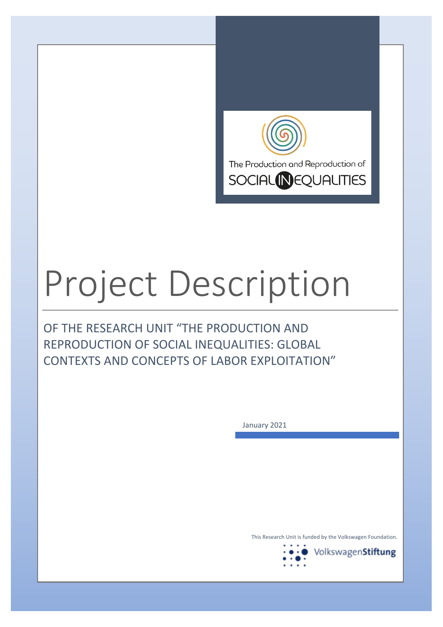

# Project Description

OF THE RESEARCH UNIT "THE PRODUCTION AND REPRODUCTION OF SOCIAL INEQUALITIES: GLOBAL CONTEXTS AND CONCEPTS OF LABOR EXPLOITATION"

January 2021

This Research Unit is funded by the Volkswagen Foundation.

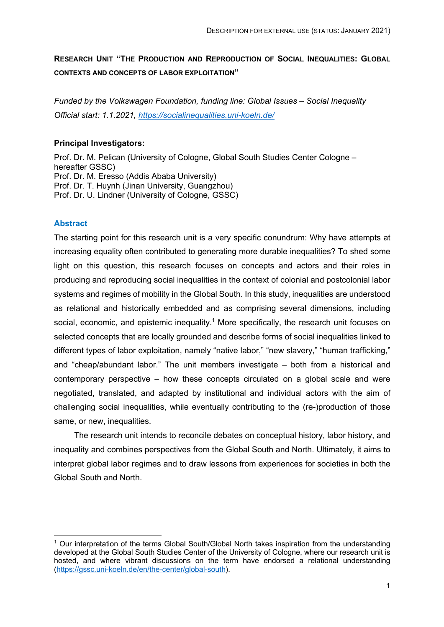# **RESEARCH UNIT "THE PRODUCTION AND REPRODUCTION OF SOCIAL INEQUALITIES: GLOBAL CONTEXTS AND CONCEPTS OF LABOR EXPLOITATION"**

*Funded by the Volkswagen Foundation, funding line: Global Issues – Social Inequality Official start: 1.1.2021, https://socialinequalities.uni-koeln.de/*

## **Principal Investigators:**

Prof. Dr. M. Pelican (University of Cologne, Global South Studies Center Cologne – hereafter GSSC) Prof. Dr. M. Eresso (Addis Ababa University) Prof. Dr. T. Huynh (Jinan University, Guangzhou) Prof. Dr. U. Lindner (University of Cologne, GSSC)

## **Abstract**

The starting point for this research unit is a very specific conundrum: Why have attempts at increasing equality often contributed to generating more durable inequalities? To shed some light on this question, this research focuses on concepts and actors and their roles in producing and reproducing social inequalities in the context of colonial and postcolonial labor systems and regimes of mobility in the Global South. In this study, inequalities are understood as relational and historically embedded and as comprising several dimensions, including social, economic, and epistemic inequality.<sup>1</sup> More specifically, the research unit focuses on selected concepts that are locally grounded and describe forms of social inequalities linked to different types of labor exploitation, namely "native labor," "new slavery," "human trafficking," and "cheap/abundant labor." The unit members investigate – both from a historical and contemporary perspective – how these concepts circulated on a global scale and were negotiated, translated, and adapted by institutional and individual actors with the aim of challenging social inequalities, while eventually contributing to the (re-)production of those same, or new, inequalities.

The research unit intends to reconcile debates on conceptual history, labor history, and inequality and combines perspectives from the Global South and North. Ultimately, it aims to interpret global labor regimes and to draw lessons from experiences for societies in both the Global South and North.

<sup>1</sup> Our interpretation of the terms Global South/Global North takes inspiration from the understanding developed at the Global South Studies Center of the University of Cologne, where our research unit is hosted, and where vibrant discussions on the term have endorsed a relational understanding (https://gssc.uni-koeln.de/en/the-center/global-south).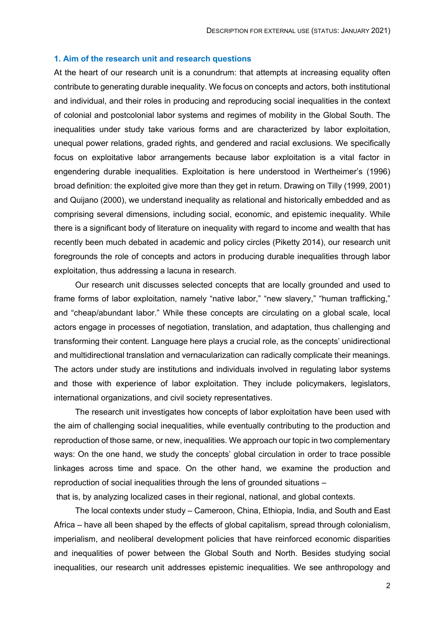#### **1. Aim of the research unit and research questions**

At the heart of our research unit is a conundrum: that attempts at increasing equality often contribute to generating durable inequality. We focus on concepts and actors, both institutional and individual, and their roles in producing and reproducing social inequalities in the context of colonial and postcolonial labor systems and regimes of mobility in the Global South. The inequalities under study take various forms and are characterized by labor exploitation, unequal power relations, graded rights, and gendered and racial exclusions. We specifically focus on exploitative labor arrangements because labor exploitation is a vital factor in engendering durable inequalities. Exploitation is here understood in Wertheimer's (1996) broad definition: the exploited give more than they get in return. Drawing on Tilly (1999, 2001) and Quijano (2000), we understand inequality as relational and historically embedded and as comprising several dimensions, including social, economic, and epistemic inequality. While there is a significant body of literature on inequality with regard to income and wealth that has recently been much debated in academic and policy circles (Piketty 2014), our research unit foregrounds the role of concepts and actors in producing durable inequalities through labor exploitation, thus addressing a lacuna in research.

Our research unit discusses selected concepts that are locally grounded and used to frame forms of labor exploitation, namely "native labor," "new slavery," "human trafficking," and "cheap/abundant labor." While these concepts are circulating on a global scale, local actors engage in processes of negotiation, translation, and adaptation, thus challenging and transforming their content. Language here plays a crucial role, as the concepts' unidirectional and multidirectional translation and vernacularization can radically complicate their meanings. The actors under study are institutions and individuals involved in regulating labor systems and those with experience of labor exploitation. They include policymakers, legislators, international organizations, and civil society representatives.

The research unit investigates how concepts of labor exploitation have been used with the aim of challenging social inequalities, while eventually contributing to the production and reproduction of those same, or new, inequalities. We approach our topic in two complementary ways: On the one hand, we study the concepts' global circulation in order to trace possible linkages across time and space. On the other hand, we examine the production and reproduction of social inequalities through the lens of grounded situations –

that is, by analyzing localized cases in their regional, national, and global contexts.

The local contexts under study – Cameroon, China, Ethiopia, India, and South and East Africa – have all been shaped by the effects of global capitalism, spread through colonialism, imperialism, and neoliberal development policies that have reinforced economic disparities and inequalities of power between the Global South and North. Besides studying social inequalities, our research unit addresses epistemic inequalities. We see anthropology and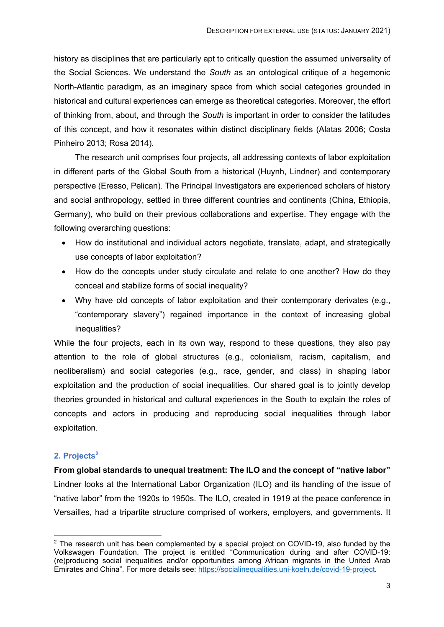history as disciplines that are particularly apt to critically question the assumed universality of the Social Sciences. We understand the *South* as an ontological critique of a hegemonic North-Atlantic paradigm, as an imaginary space from which social categories grounded in historical and cultural experiences can emerge as theoretical categories. Moreover, the effort of thinking from, about, and through the *South* is important in order to consider the latitudes of this concept, and how it resonates within distinct disciplinary fields (Alatas 2006; Costa Pinheiro 2013; Rosa 2014).

The research unit comprises four projects, all addressing contexts of labor exploitation in different parts of the Global South from a historical (Huynh, Lindner) and contemporary perspective (Eresso, Pelican). The Principal Investigators are experienced scholars of history and social anthropology, settled in three different countries and continents (China, Ethiopia, Germany), who build on their previous collaborations and expertise. They engage with the following overarching questions:

- How do institutional and individual actors negotiate, translate, adapt, and strategically use concepts of labor exploitation?
- How do the concepts under study circulate and relate to one another? How do they conceal and stabilize forms of social inequality?
- Why have old concepts of labor exploitation and their contemporary derivates (e.g., "contemporary slavery") regained importance in the context of increasing global inequalities?

While the four projects, each in its own way, respond to these questions, they also pay attention to the role of global structures (e.g., colonialism, racism, capitalism, and neoliberalism) and social categories (e.g., race, gender, and class) in shaping labor exploitation and the production of social inequalities. Our shared goal is to jointly develop theories grounded in historical and cultural experiences in the South to explain the roles of concepts and actors in producing and reproducing social inequalities through labor exploitation.

# **2. Projects<sup>2</sup>**

**From global standards to unequal treatment: The ILO and the concept of "native labor"**  Lindner looks at the International Labor Organization (ILO) and its handling of the issue of "native labor" from the 1920s to 1950s. The ILO, created in 1919 at the peace conference in Versailles, had a tripartite structure comprised of workers, employers, and governments. It

<sup>&</sup>lt;sup>2</sup> The research unit has been complemented by a special project on COVID-19, also funded by the Volkswagen Foundation. The project is entitled "Communication during and after COVID-19: (re)producing social inequalities and/or opportunities among African migrants in the United Arab Emirates and China". For more details see: https://socialinequalities.uni-koeln.de/covid-19-project.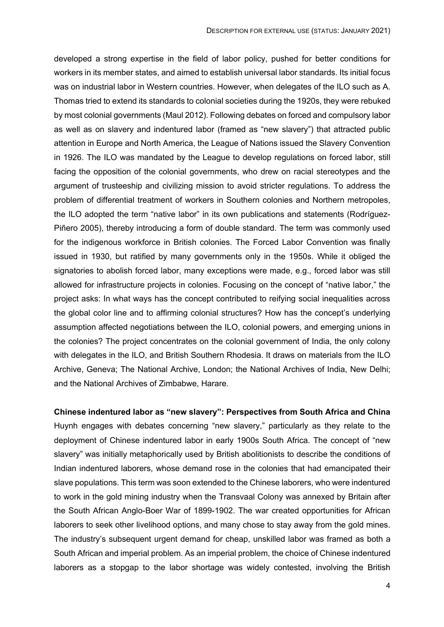developed a strong expertise in the field of labor policy, pushed for better conditions for workers in its member states, and aimed to establish universal labor standards. Its initial focus was on industrial labor in Western countries. However, when delegates of the ILO such as A. Thomas tried to extend its standards to colonial societies during the 1920s, they were rebuked by most colonial governments (Maul 2012). Following debates on forced and compulsory labor as well as on slavery and indentured labor (framed as "new slavery") that attracted public attention in Europe and North America, the League of Nations issued the Slavery Convention in 1926. The ILO was mandated by the League to develop regulations on forced labor, still facing the opposition of the colonial governments, who drew on racial stereotypes and the argument of trusteeship and civilizing mission to avoid stricter regulations. To address the problem of differential treatment of workers in Southern colonies and Northern metropoles, the ILO adopted the term "native labor" in its own publications and statements (Rodríguez-Piñero 2005), thereby introducing a form of double standard. The term was commonly used for the indigenous workforce in British colonies. The Forced Labor Convention was finally issued in 1930, but ratified by many governments only in the 1950s. While it obliged the signatories to abolish forced labor, many exceptions were made, e.g., forced labor was still allowed for infrastructure projects in colonies. Focusing on the concept of "native labor," the project asks: In what ways has the concept contributed to reifying social inequalities across the global color line and to affirming colonial structures? How has the concept's underlying assumption affected negotiations between the ILO, colonial powers, and emerging unions in the colonies? The project concentrates on the colonial government of India, the only colony with delegates in the ILO, and British Southern Rhodesia. It draws on materials from the ILO Archive, Geneva; The National Archive, London; the National Archives of India, New Delhi; and the National Archives of Zimbabwe, Harare.

**Chinese indentured labor as "new slavery": Perspectives from South Africa and China**  Huynh engages with debates concerning "new slavery," particularly as they relate to the deployment of Chinese indentured labor in early 1900s South Africa. The concept of "new slavery" was initially metaphorically used by British abolitionists to describe the conditions of Indian indentured laborers, whose demand rose in the colonies that had emancipated their slave populations. This term was soon extended to the Chinese laborers, who were indentured to work in the gold mining industry when the Transvaal Colony was annexed by Britain after the South African Anglo-Boer War of 1899-1902. The war created opportunities for African laborers to seek other livelihood options, and many chose to stay away from the gold mines. The industry's subsequent urgent demand for cheap, unskilled labor was framed as both a South African and imperial problem. As an imperial problem, the choice of Chinese indentured laborers as a stopgap to the labor shortage was widely contested, involving the British

4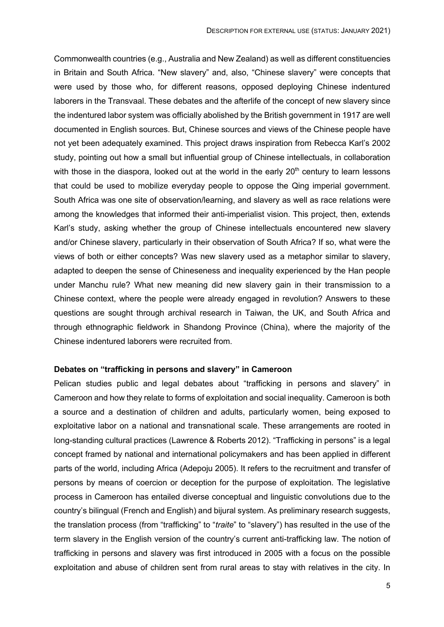Commonwealth countries (e.g., Australia and New Zealand) as well as different constituencies in Britain and South Africa. "New slavery" and, also, "Chinese slavery" were concepts that were used by those who, for different reasons, opposed deploying Chinese indentured laborers in the Transvaal. These debates and the afterlife of the concept of new slavery since the indentured labor system was officially abolished by the British government in 1917 are well documented in English sources. But, Chinese sources and views of the Chinese people have not yet been adequately examined. This project draws inspiration from Rebecca Karl's 2002 study, pointing out how a small but influential group of Chinese intellectuals, in collaboration with those in the diaspora, looked out at the world in the early 20<sup>th</sup> century to learn lessons that could be used to mobilize everyday people to oppose the Qing imperial government. South Africa was one site of observation/learning, and slavery as well as race relations were among the knowledges that informed their anti-imperialist vision. This project, then, extends Karl's study, asking whether the group of Chinese intellectuals encountered new slavery and/or Chinese slavery, particularly in their observation of South Africa? If so, what were the views of both or either concepts? Was new slavery used as a metaphor similar to slavery, adapted to deepen the sense of Chineseness and inequality experienced by the Han people under Manchu rule? What new meaning did new slavery gain in their transmission to a Chinese context, where the people were already engaged in revolution? Answers to these questions are sought through archival research in Taiwan, the UK, and South Africa and through ethnographic fieldwork in Shandong Province (China), where the majority of the Chinese indentured laborers were recruited from.

#### **Debates on "trafficking in persons and slavery" in Cameroon**

Pelican studies public and legal debates about "trafficking in persons and slavery" in Cameroon and how they relate to forms of exploitation and social inequality. Cameroon is both a source and a destination of children and adults, particularly women, being exposed to exploitative labor on a national and transnational scale. These arrangements are rooted in long-standing cultural practices (Lawrence & Roberts 2012). "Trafficking in persons" is a legal concept framed by national and international policymakers and has been applied in different parts of the world, including Africa (Adepoju 2005). It refers to the recruitment and transfer of persons by means of coercion or deception for the purpose of exploitation. The legislative process in Cameroon has entailed diverse conceptual and linguistic convolutions due to the country's bilingual (French and English) and bijural system. As preliminary research suggests, the translation process (from "trafficking" to "*traite*" to "slavery") has resulted in the use of the term slavery in the English version of the country's current anti-trafficking law. The notion of trafficking in persons and slavery was first introduced in 2005 with a focus on the possible exploitation and abuse of children sent from rural areas to stay with relatives in the city. In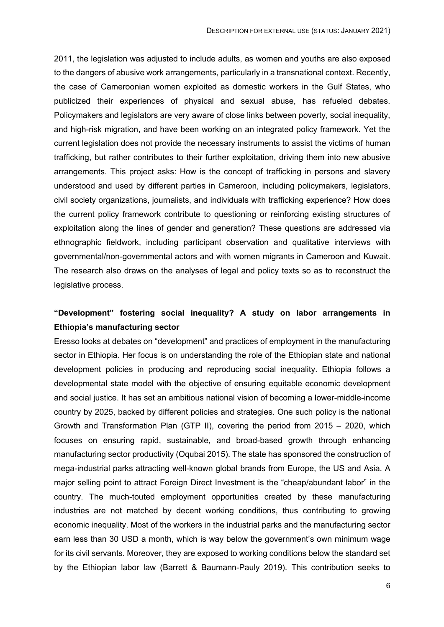2011, the legislation was adjusted to include adults, as women and youths are also exposed to the dangers of abusive work arrangements, particularly in a transnational context. Recently, the case of Cameroonian women exploited as domestic workers in the Gulf States, who publicized their experiences of physical and sexual abuse, has refueled debates. Policymakers and legislators are very aware of close links between poverty, social inequality, and high-risk migration, and have been working on an integrated policy framework. Yet the current legislation does not provide the necessary instruments to assist the victims of human trafficking, but rather contributes to their further exploitation, driving them into new abusive arrangements. This project asks: How is the concept of trafficking in persons and slavery understood and used by different parties in Cameroon, including policymakers, legislators, civil society organizations, journalists, and individuals with trafficking experience? How does the current policy framework contribute to questioning or reinforcing existing structures of exploitation along the lines of gender and generation? These questions are addressed via ethnographic fieldwork, including participant observation and qualitative interviews with governmental/non-governmental actors and with women migrants in Cameroon and Kuwait. The research also draws on the analyses of legal and policy texts so as to reconstruct the legislative process.

# **"Development" fostering social inequality? A study on labor arrangements in Ethiopia's manufacturing sector**

Eresso looks at debates on "development" and practices of employment in the manufacturing sector in Ethiopia. Her focus is on understanding the role of the Ethiopian state and national development policies in producing and reproducing social inequality. Ethiopia follows a developmental state model with the objective of ensuring equitable economic development and social justice. It has set an ambitious national vision of becoming a lower-middle-income country by 2025, backed by different policies and strategies. One such policy is the national Growth and Transformation Plan (GTP II), covering the period from 2015 – 2020, which focuses on ensuring rapid, sustainable, and broad-based growth through enhancing manufacturing sector productivity (Oqubai 2015). The state has sponsored the construction of mega-industrial parks attracting well-known global brands from Europe, the US and Asia. A major selling point to attract Foreign Direct Investment is the "cheap/abundant labor" in the country. The much-touted employment opportunities created by these manufacturing industries are not matched by decent working conditions, thus contributing to growing economic inequality. Most of the workers in the industrial parks and the manufacturing sector earn less than 30 USD a month, which is way below the government's own minimum wage for its civil servants. Moreover, they are exposed to working conditions below the standard set by the Ethiopian labor law (Barrett & Baumann-Pauly 2019). This contribution seeks to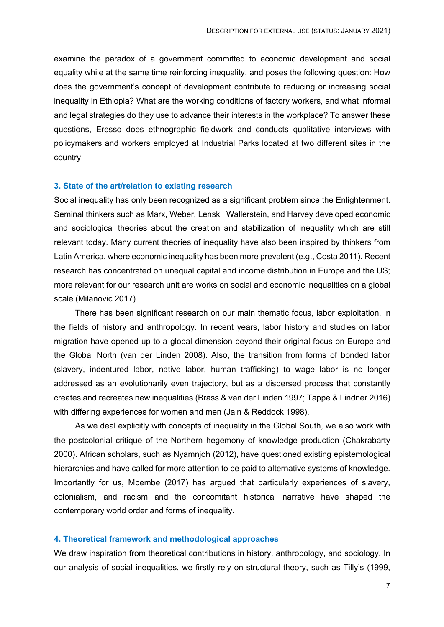examine the paradox of a government committed to economic development and social equality while at the same time reinforcing inequality, and poses the following question: How does the government's concept of development contribute to reducing or increasing social inequality in Ethiopia? What are the working conditions of factory workers, and what informal and legal strategies do they use to advance their interests in the workplace? To answer these questions, Eresso does ethnographic fieldwork and conducts qualitative interviews with policymakers and workers employed at Industrial Parks located at two different sites in the country.

#### **3. State of the art/relation to existing research**

Social inequality has only been recognized as a significant problem since the Enlightenment. Seminal thinkers such as Marx, Weber, Lenski, Wallerstein, and Harvey developed economic and sociological theories about the creation and stabilization of inequality which are still relevant today. Many current theories of inequality have also been inspired by thinkers from Latin America, where economic inequality has been more prevalent (e.g., Costa 2011). Recent research has concentrated on unequal capital and income distribution in Europe and the US; more relevant for our research unit are works on social and economic inequalities on a global scale (Milanovic 2017).

There has been significant research on our main thematic focus, labor exploitation, in the fields of history and anthropology. In recent years, labor history and studies on labor migration have opened up to a global dimension beyond their original focus on Europe and the Global North (van der Linden 2008). Also, the transition from forms of bonded labor (slavery, indentured labor, native labor, human trafficking) to wage labor is no longer addressed as an evolutionarily even trajectory, but as a dispersed process that constantly creates and recreates new inequalities (Brass & van der Linden 1997; Tappe & Lindner 2016) with differing experiences for women and men (Jain & Reddock 1998).

As we deal explicitly with concepts of inequality in the Global South, we also work with the postcolonial critique of the Northern hegemony of knowledge production (Chakrabarty 2000). African scholars, such as Nyamnjoh (2012), have questioned existing epistemological hierarchies and have called for more attention to be paid to alternative systems of knowledge. Importantly for us, Mbembe (2017) has argued that particularly experiences of slavery, colonialism, and racism and the concomitant historical narrative have shaped the contemporary world order and forms of inequality.

#### **4. Theoretical framework and methodological approaches**

We draw inspiration from theoretical contributions in history, anthropology, and sociology. In our analysis of social inequalities, we firstly rely on structural theory, such as Tilly's (1999,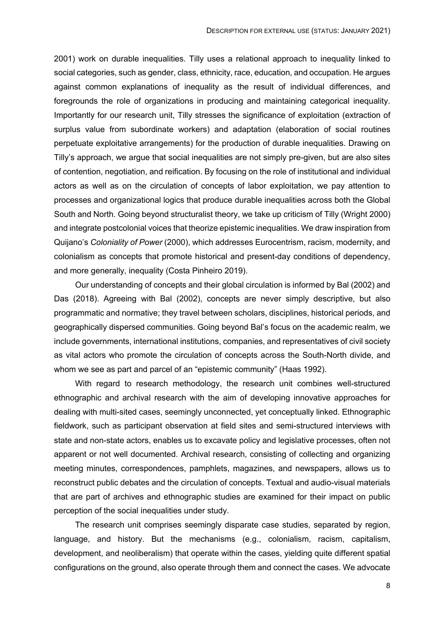2001) work on durable inequalities. Tilly uses a relational approach to inequality linked to social categories, such as gender, class, ethnicity, race, education, and occupation. He argues against common explanations of inequality as the result of individual differences, and foregrounds the role of organizations in producing and maintaining categorical inequality. Importantly for our research unit, Tilly stresses the significance of exploitation (extraction of surplus value from subordinate workers) and adaptation (elaboration of social routines perpetuate exploitative arrangements) for the production of durable inequalities. Drawing on Tilly's approach, we argue that social inequalities are not simply pre-given, but are also sites of contention, negotiation, and reification. By focusing on the role of institutional and individual actors as well as on the circulation of concepts of labor exploitation, we pay attention to processes and organizational logics that produce durable inequalities across both the Global South and North. Going beyond structuralist theory, we take up criticism of Tilly (Wright 2000) and integrate postcolonial voices that theorize epistemic inequalities. We draw inspiration from Quijano's *Coloniality of Power* (2000), which addresses Eurocentrism, racism, modernity, and colonialism as concepts that promote historical and present-day conditions of dependency, and more generally, inequality (Costa Pinheiro 2019).

Our understanding of concepts and their global circulation is informed by Bal (2002) and Das (2018). Agreeing with Bal (2002), concepts are never simply descriptive, but also programmatic and normative; they travel between scholars, disciplines, historical periods, and geographically dispersed communities. Going beyond Bal's focus on the academic realm, we include governments, international institutions, companies, and representatives of civil society as vital actors who promote the circulation of concepts across the South-North divide, and whom we see as part and parcel of an "epistemic community" (Haas 1992).

With regard to research methodology, the research unit combines well-structured ethnographic and archival research with the aim of developing innovative approaches for dealing with multi-sited cases, seemingly unconnected, yet conceptually linked. Ethnographic fieldwork, such as participant observation at field sites and semi-structured interviews with state and non-state actors, enables us to excavate policy and legislative processes, often not apparent or not well documented. Archival research, consisting of collecting and organizing meeting minutes, correspondences, pamphlets, magazines, and newspapers, allows us to reconstruct public debates and the circulation of concepts. Textual and audio-visual materials that are part of archives and ethnographic studies are examined for their impact on public perception of the social inequalities under study.

The research unit comprises seemingly disparate case studies, separated by region, language, and history. But the mechanisms (e.g., colonialism, racism, capitalism, development, and neoliberalism) that operate within the cases, yielding quite different spatial configurations on the ground, also operate through them and connect the cases. We advocate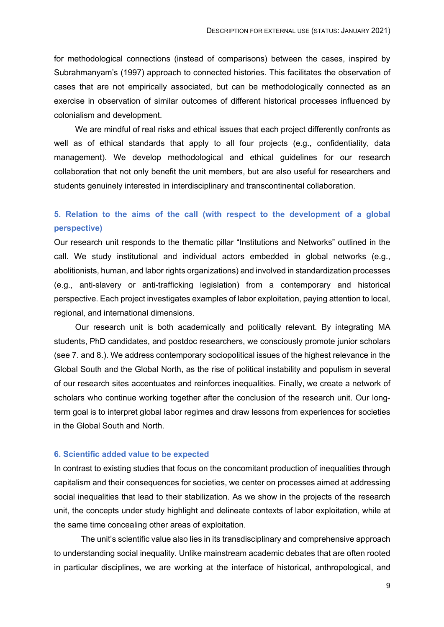for methodological connections (instead of comparisons) between the cases, inspired by Subrahmanyam's (1997) approach to connected histories. This facilitates the observation of cases that are not empirically associated, but can be methodologically connected as an exercise in observation of similar outcomes of different historical processes influenced by colonialism and development.

We are mindful of real risks and ethical issues that each project differently confronts as well as of ethical standards that apply to all four projects (e.g., confidentiality, data management). We develop methodological and ethical guidelines for our research collaboration that not only benefit the unit members, but are also useful for researchers and students genuinely interested in interdisciplinary and transcontinental collaboration.

# **5. Relation to the aims of the call (with respect to the development of a global perspective)**

Our research unit responds to the thematic pillar "Institutions and Networks" outlined in the call. We study institutional and individual actors embedded in global networks (e.g., abolitionists, human, and labor rights organizations) and involved in standardization processes (e.g., anti-slavery or anti-trafficking legislation) from a contemporary and historical perspective. Each project investigates examples of labor exploitation, paying attention to local, regional, and international dimensions.

Our research unit is both academically and politically relevant. By integrating MA students, PhD candidates, and postdoc researchers, we consciously promote junior scholars (see 7. and 8.). We address contemporary sociopolitical issues of the highest relevance in the Global South and the Global North, as the rise of political instability and populism in several of our research sites accentuates and reinforces inequalities. Finally, we create a network of scholars who continue working together after the conclusion of the research unit. Our longterm goal is to interpret global labor regimes and draw lessons from experiences for societies in the Global South and North.

## **6. Scientific added value to be expected**

In contrast to existing studies that focus on the concomitant production of inequalities through capitalism and their consequences for societies, we center on processes aimed at addressing social inequalities that lead to their stabilization. As we show in the projects of the research unit, the concepts under study highlight and delineate contexts of labor exploitation, while at the same time concealing other areas of exploitation.

The unit's scientific value also lies in its transdisciplinary and comprehensive approach to understanding social inequality. Unlike mainstream academic debates that are often rooted in particular disciplines, we are working at the interface of historical, anthropological, and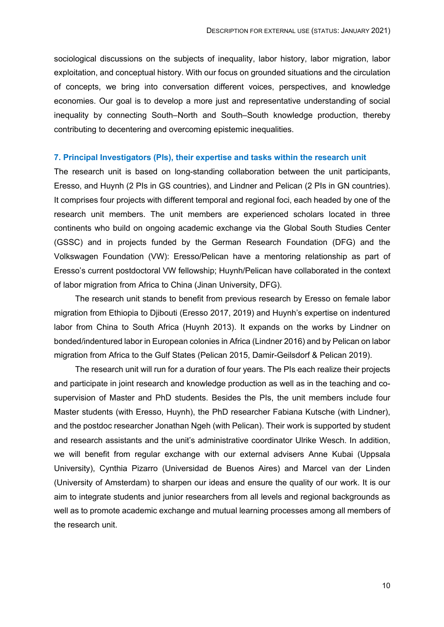sociological discussions on the subjects of inequality, labor history, labor migration, labor exploitation, and conceptual history. With our focus on grounded situations and the circulation of concepts, we bring into conversation different voices, perspectives, and knowledge economies. Our goal is to develop a more just and representative understanding of social inequality by connecting South–North and South–South knowledge production, thereby contributing to decentering and overcoming epistemic inequalities.

#### **7. Principal Investigators (PIs), their expertise and tasks within the research unit**

The research unit is based on long-standing collaboration between the unit participants, Eresso, and Huynh (2 PIs in GS countries), and Lindner and Pelican (2 PIs in GN countries). It comprises four projects with different temporal and regional foci, each headed by one of the research unit members. The unit members are experienced scholars located in three continents who build on ongoing academic exchange via the Global South Studies Center (GSSC) and in projects funded by the German Research Foundation (DFG) and the Volkswagen Foundation (VW): Eresso/Pelican have a mentoring relationship as part of Eresso's current postdoctoral VW fellowship; Huynh/Pelican have collaborated in the context of labor migration from Africa to China (Jinan University, DFG).

The research unit stands to benefit from previous research by Eresso on female labor migration from Ethiopia to Djibouti (Eresso 2017, 2019) and Huynh's expertise on indentured labor from China to South Africa (Huynh 2013). It expands on the works by Lindner on bonded/indentured labor in European colonies in Africa (Lindner 2016) and by Pelican on labor migration from Africa to the Gulf States (Pelican 2015, Damir-Geilsdorf & Pelican 2019).

The research unit will run for a duration of four years. The PIs each realize their projects and participate in joint research and knowledge production as well as in the teaching and cosupervision of Master and PhD students. Besides the PIs, the unit members include four Master students (with Eresso, Huynh), the PhD researcher Fabiana Kutsche (with Lindner), and the postdoc researcher Jonathan Ngeh (with Pelican). Their work is supported by student and research assistants and the unit's administrative coordinator Ulrike Wesch. In addition, we will benefit from regular exchange with our external advisers Anne Kubai (Uppsala University), Cynthia Pizarro (Universidad de Buenos Aires) and Marcel van der Linden (University of Amsterdam) to sharpen our ideas and ensure the quality of our work. It is our aim to integrate students and junior researchers from all levels and regional backgrounds as well as to promote academic exchange and mutual learning processes among all members of the research unit.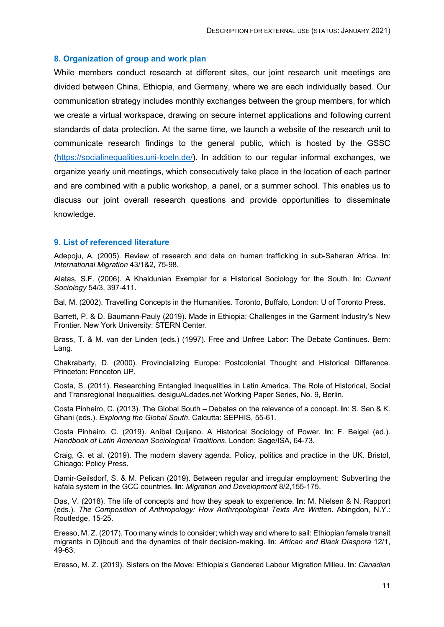#### **8. Organization of group and work plan**

While members conduct research at different sites, our joint research unit meetings are divided between China, Ethiopia, and Germany, where we are each individually based. Our communication strategy includes monthly exchanges between the group members, for which we create a virtual workspace, drawing on secure internet applications and following current standards of data protection. At the same time, we launch a website of the research unit to communicate research findings to the general public, which is hosted by the GSSC (https://socialinequalities.uni-koeln.de/). In addition to our regular informal exchanges, we organize yearly unit meetings, which consecutively take place in the location of each partner and are combined with a public workshop, a panel, or a summer school. This enables us to discuss our joint overall research questions and provide opportunities to disseminate knowledge.

## **9. List of referenced literature**

Adepoju, A. (2005). Review of research and data on human trafficking in sub-Saharan Africa. **In**: *International Migration* 43/1&2, 75-98.

Alatas, S.F. (2006). A Khaldunian Exemplar for a Historical Sociology for the South. **In**: *Current Sociology* 54/3, 397-411.

Bal, M. (2002). Travelling Concepts in the Humanities. Toronto, Buffalo, London: U of Toronto Press.

Barrett, P. & D. Baumann-Pauly (2019). Made in Ethiopia: Challenges in the Garment Industry's New Frontier. New York University: STERN Center.

Brass, T. & M. van der Linden (eds.) (1997). Free and Unfree Labor: The Debate Continues. Bern: Lang.

Chakrabarty, D. (2000). Provincializing Europe: Postcolonial Thought and Historical Difference. Princeton: Princeton UP.

Costa, S. (2011). Researching Entangled Inequalities in Latin America. The Role of Historical, Social and Transregional Inequalities, desiguALdades.net Working Paper Series, No. 9, Berlin.

Costa Pinheiro, C. (2013). The Global South – Debates on the relevance of a concept. **In**: S. Sen & K. Ghani (eds.). *Exploring the Global South*. Calcutta: SEPHIS, 55-61.

Costa Pinheiro, C. (2019). Aníbal Quijano. A Historical Sociology of Power. **In**: F. Beigel (ed.). *Handbook of Latin American Sociological Traditions*. London: Sage/ISA, 64-73.

Craig, G. et al. (2019). The modern slavery agenda. Policy, politics and practice in the UK. Bristol, Chicago: Policy Press.

Damir-Geilsdorf, S. & M. Pelican (2019). Between regular and irregular employment: Subverting the kafala system in the GCC countries. **In**: *Migration and Development* 8/2,155-175.

Das, V. (2018). The life of concepts and how they speak to experience. **In**: M. Nielsen & N. Rapport (eds.). *The Composition of Anthropology: How Anthropological Texts Are Written*. Abingdon, N.Y.: Routledge, 15-25.

Eresso, M. Z. (2017). Too many winds to consider; which way and where to sail: Ethiopian female transit migrants in Djibouti and the dynamics of their decision-making. **In**: *African and Black Diaspora* 12/1, 49-63.

Eresso, M. Z. (2019). Sisters on the Move: Ethiopia's Gendered Labour Migration Milieu. **In**: *Canadian*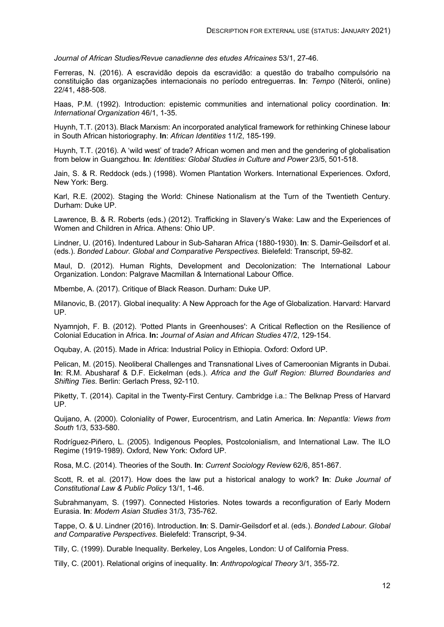*Journal of African Studies/Revue canadienne des etudes Africaines* 53/1, 27-46.

Ferreras, N. (2016). A escravidão depois da escravidão: a questão do trabalho compulsório na constituição das organizações internacionais no período entreguerras. **In**: *Tempo* (Niterói, online) 22/41, 488-508.

Haas, P.M. (1992). Introduction: epistemic communities and international policy coordination. **In**: *International Organization* 46/1, 1-35.

Huynh, T.T. (2013). Black Marxism: An incorporated analytical framework for rethinking Chinese labour in South African historiography. **In**: *African Identities* 11/2, 185-199.

Huynh, T.T. (2016). A 'wild west' of trade? African women and men and the gendering of globalisation from below in Guangzhou. **In**: *Identities: Global Studies in Culture and Power* 23/5, 501-518.

Jain, S. & R. Reddock (eds.) (1998). Women Plantation Workers. International Experiences. Oxford, New York: Berg.

Karl, R.E. (2002). Staging the World: Chinese Nationalism at the Turn of the Twentieth Century. Durham: Duke UP.

Lawrence, B. & R. Roberts (eds.) (2012). Trafficking in Slavery's Wake: Law and the Experiences of Women and Children in Africa. Athens: Ohio UP.

Lindner, U. (2016). Indentured Labour in Sub-Saharan Africa (1880-1930). **In**: S. Damir-Geilsdorf et al. (eds.). *Bonded Labour. Global and Comparative Perspectives*. Bielefeld: Transcript, 59-82.

Maul, D. (2012). Human Rights, Development and Decolonization: The International Labour Organization. London: Palgrave Macmillan & International Labour Office.

Mbembe, A. (2017). Critique of Black Reason. Durham: Duke UP.

Milanovic, B. (2017). Global inequality: A New Approach for the Age of Globalization. Harvard: Harvard UP.

Nyamnjoh, F. B. (2012). 'Potted Plants in Greenhouses': A Critical Reflection on the Resilience of Colonial Education in Africa. **In:** *Journal of Asian and African Studies* 47/2, 129-154.

Oqubay, A. (2015). Made in Africa: Industrial Policy in Ethiopia. Oxford: Oxford UP.

Pelican, M. (2015). Neoliberal Challenges and Transnational Lives of Cameroonian Migrants in Dubai. **In**: R.M. Abusharaf & D.F. Eickelman (eds.). *Africa and the Gulf Region: Blurred Boundaries and Shifting Ties*. Berlin: Gerlach Press, 92-110.

Piketty, T. (2014). Capital in the Twenty-First Century. Cambridge i.a.: The Belknap Press of Harvard UP.

Quijano, A. (2000). Coloniality of Power, Eurocentrism, and Latin America. **In**: *Nepantla: Views from South* 1/3, 533-580.

Rodríguez-Piñero, L. (2005). Indigenous Peoples, Postcolonialism, and International Law. The ILO Regime (1919-1989). Oxford, New York: Oxford UP.

Rosa, M.C. (2014). Theories of the South. **In**: *Current Sociology Review* 62/6, 851-867.

Scott, R. et al. (2017). How does the law put a historical analogy to work? **In**: *Duke Journal of Constitutional Law & Public Policy* 13/1, 1-46.

Subrahmanyam, S. (1997). Connected Histories. Notes towards a reconfiguration of Early Modern Eurasia. **In**: *Modern Asian Studies* 31/3, 735-762.

Tappe, O. & U. Lindner (2016). Introduction. **In**: S. Damir-Geilsdorf et al. (eds.). *Bonded Labour. Global and Comparative Perspectives*. Bielefeld: Transcript, 9-34.

Tilly, C. (1999). Durable Inequality. Berkeley, Los Angeles, London: U of California Press.

Tilly, C. (2001). Relational origins of inequality. **In**: *Anthropological Theory* 3/1, 355-72.